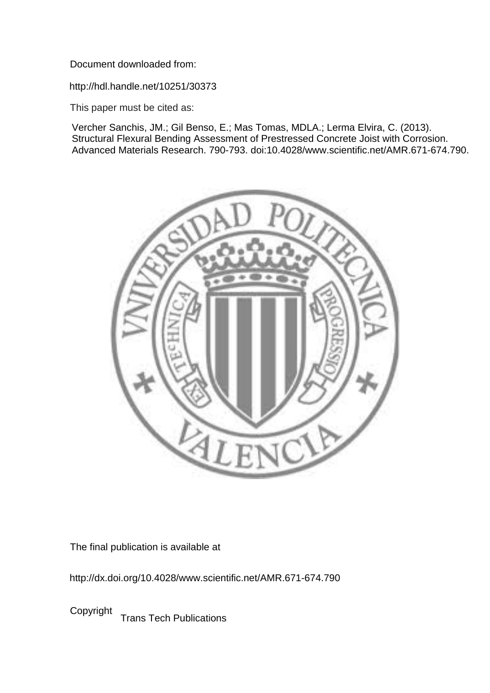Document downloaded from:

http://hdl.handle.net/10251/30373

This paper must be cited as:

Vercher Sanchis, JM.; Gil Benso, E.; Mas Tomas, MDLA.; Lerma Elvira, C. (2013). Structural Flexural Bending Assessment of Prestressed Concrete Joist with Corrosion. Advanced Materials Research. 790-793. doi:10.4028/www.scientific.net/AMR.671-674.790.



The final publication is available at

http://dx.doi.org/10.4028/www.scientific.net/AMR.671-674.790

Copyright Trans Tech Publications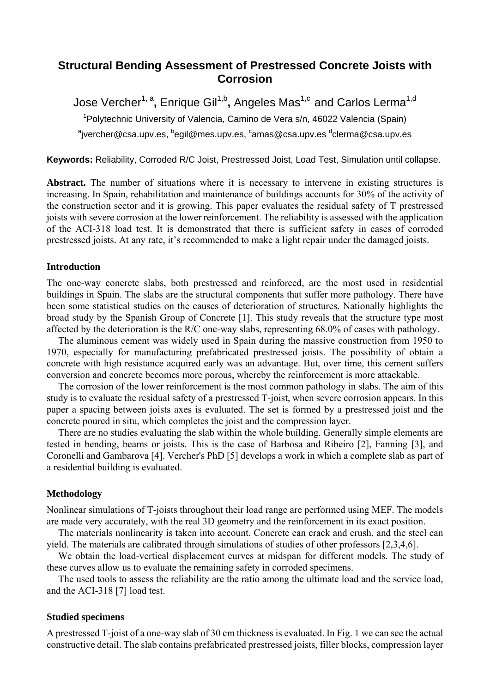# **Structural Bending Assessment of Prestressed Concrete Joists with Corrosion**

Jose Vercher<sup>1, a</sup>, Enrique Gil<sup>1,b</sup>, Angeles Mas<sup>1,c</sup> and Carlos Lerma<sup>1,d</sup> <sup>1</sup>Polytechnic University of Valencia, Camino de Vera s/n, 46022 Valencia (Spain)  $^{\circ}$ jvercher@csa.upv.es,  $^{\circ}$ egil@mes.upv.es,  $^{\circ}$ amas@csa.upv.es  $^{\circ}$ clerma@csa.upv.es

**Keywords:** Reliability, Corroded R/C Joist, Prestressed Joist, Load Test, Simulation until collapse.

Abstract. The number of situations where it is necessary to intervene in existing structures is increasing. In Spain, rehabilitation and maintenance of buildings accounts for 30% of the activity of the construction sector and it is growing. This paper evaluates the residual safety of T prestressed joists with severe corrosion at the lower reinforcement. The reliability is assessed with the application of the ACI-318 load test. It is demonstrated that there is sufficient safety in cases of corroded prestressed joists. At any rate, it's recommended to make a light repair under the damaged joists.

### **Introduction**

The one-way concrete slabs, both prestressed and reinforced, are the most used in residential buildings in Spain. The slabs are the structural components that suffer more pathology. There have been some statistical studies on the causes of deterioration of structures. Nationally highlights the broad study by the Spanish Group of Concrete [1]. This study reveals that the structure type most affected by the deterioration is the R/C one-way slabs, representing 68.0% of cases with pathology.

The aluminous cement was widely used in Spain during the massive construction from 1950 to 1970, especially for manufacturing prefabricated prestressed joists. The possibility of obtain a concrete with high resistance acquired early was an advantage. But, over time, this cement suffers conversion and concrete becomes more porous, whereby the reinforcement is more attackable.

The corrosion of the lower reinforcement is the most common pathology in slabs. The aim of this study is to evaluate the residual safety of a prestressed T-joist, when severe corrosion appears. In this paper a spacing between joists axes is evaluated. The set is formed by a prestressed joist and the concrete poured in situ, which completes the joist and the compression layer.

There are no studies evaluating the slab within the whole building. Generally simple elements are tested in bending, beams or joists. This is the case of Barbosa and Ribeiro [2], Fanning [3], and Coronelli and Gambarova [4]. Vercher's PhD [5] develops a work in which a complete slab as part of a residential building is evaluated.

#### **Methodology**

Nonlinear simulations of T-joists throughout their load range are performed using MEF. The models are made very accurately, with the real 3D geometry and the reinforcement in its exact position.

The materials nonlinearity is taken into account. Concrete can crack and crush, and the steel can yield. The materials are calibrated through simulations of studies of other professors [2,3,4,6].

We obtain the load-vertical displacement curves at midspan for different models. The study of these curves allow us to evaluate the remaining safety in corroded specimens.

The used tools to assess the reliability are the ratio among the ultimate load and the service load, and the ACI-318 [7] load test.

#### **Studied specimens**

A prestressed T-joist of a one-way slab of 30 cm thickness is evaluated. In Fig. 1 we can see the actual constructive detail. The slab contains prefabricated prestressed joists, filler blocks, compression layer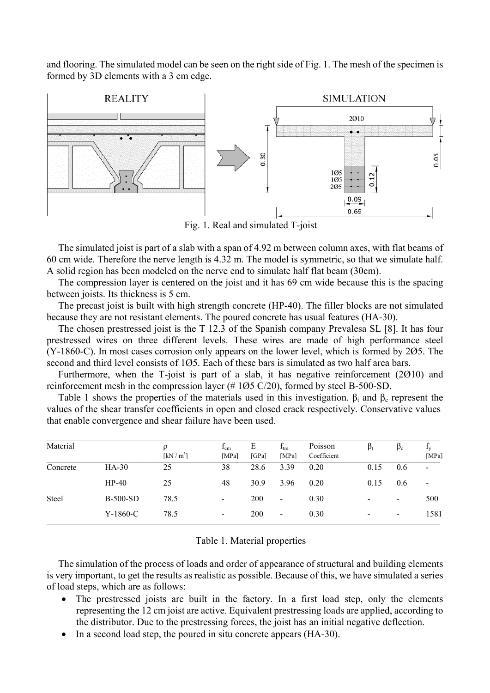and flooring. The simulated model can be seen on the right side of Fig. 1. The mesh of the specimen is formed by 3D elements with a 3 cm edge.



Fig. 1. Real and simulated T-joist

The simulated joist is part of a slab with a span of 4.92 m between column axes, with flat beams of 60 cm wide. Therefore the nerve length is 4.32 m. The model is symmetric, so that we simulate half. A solid region has been modeled on the nerve end to simulate half flat beam (30cm).

The compression layer is centered on the joist and it has 69 cm wide because this is the spacing between joists. Its thickness is 5 cm.

The precast joist is built with high strength concrete (HP-40). The filler blocks are not simulated because they are not resistant elements. The poured concrete has usual features (HA-30).

The chosen prestressed joist is the T 12.3 of the Spanish company Prevalesa SL [8]. It has four prestressed wires on three different levels. These wires are made of high performance steel (Y-1860-C). In most cases corrosion only appears on the lower level, which is formed by 2Ø5. The second and third level consists of 1Ø5. Each of these bars is simulated as two half area bars.

Furthermore, when the T-joist is part of a slab, it has negative reinforcement (2Ø10) and reinforcement mesh in the compression layer (# 1Ø5 C/20), formed by steel B-500-SD.

Table 1 shows the properties of the materials used in this investigation.  $\beta_t$  and  $\beta_c$  represent the values of the shear transfer coefficients in open and closed crack respectively. Conservative values that enable convergence and shear failure have been used.

| Material |            | ρ<br>[kN/m <sup>3</sup> ] | $f_{\rm cm}$<br>[MPa]    | Е<br>[GPa] | $f_{tm}$<br>[MPa]        | Poisson<br>Coefficient | $\beta_t$                | $\beta_c$                | $\mathbf{I}_{\mathbf{V}}$<br>[MPa] |
|----------|------------|---------------------------|--------------------------|------------|--------------------------|------------------------|--------------------------|--------------------------|------------------------------------|
| Concrete | $HA-30$    | 25                        | 38                       | 28.6       | 3.39                     | 0.20                   | 0.15                     | 0.6                      | $\qquad \qquad \blacksquare$       |
|          | $HP-40$    | 25                        | 48                       | 30.9       | 3.96                     | 0.20                   | 0.15                     | 0.6                      | $\overline{\phantom{a}}$           |
| Steel    | $B-500-SD$ | 78.5                      | $\blacksquare$           | 200        | $\overline{\phantom{a}}$ | 0.30                   | $\overline{\phantom{a}}$ | $\overline{\phantom{a}}$ | 500                                |
|          | $Y-1860-C$ | 78.5                      | $\overline{\phantom{a}}$ | 200        | $\blacksquare$           | 0.30                   | -                        | $\overline{\phantom{a}}$ | 1581                               |

#### Table 1. Material properties

The simulation of the process of loads and order of appearance of structural and building elements is very important, to get the results as realistic as possible. Because of this, we have simulated a series of load steps, which are as follows:

- The prestressed joists are built in the factory. In a first load step, only the elements representing the 12 cm joist are active. Equivalent prestressing loads are applied, according to the distributor. Due to the prestressing forces, the joist has an initial negative deflection.
- In a second load step, the poured in situ concrete appears (HA-30).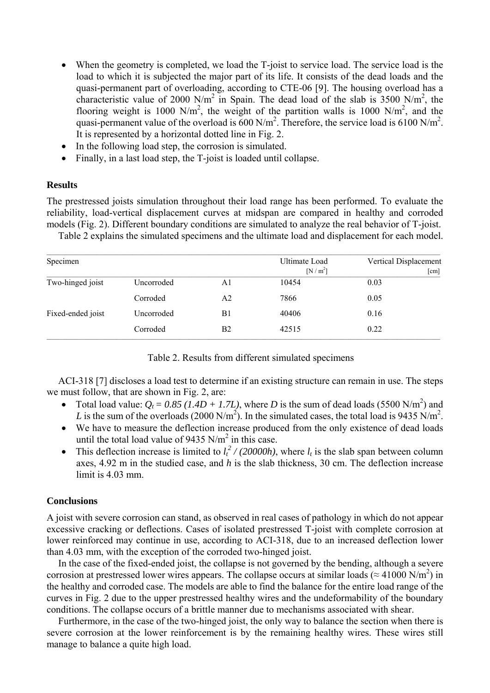- When the geometry is completed, we load the T-joist to service load. The service load is the load to which it is subjected the major part of its life. It consists of the dead loads and the quasi-permanent part of overloading, according to CTE-06 [9]. The housing overload has a characteristic value of 2000 N/m<sup>2</sup> in Spain. The dead load of the slab is 3500 N/m<sup>2</sup>, the flooring weight is 1000 N/m<sup>2</sup>, the weight of the partition walls is 1000 N/m<sup>2</sup>, and the quasi-permanent value of the overload is  $600 \text{ N/m}^2$ . Therefore, the service load is  $6100 \text{ N/m}^2$ . It is represented by a horizontal dotted line in Fig. 2.
- In the following load step, the corrosion is simulated.
- Finally, in a last load step, the T-joist is loaded until collapse.

# **Results**

The prestressed joists simulation throughout their load range has been performed. To evaluate the reliability, load-vertical displacement curves at midspan are compared in healthy and corroded models (Fig. 2). Different boundary conditions are simulated to analyze the real behavior of T-joist.

Table 2 explains the simulated specimens and the ultimate load and displacement for each model.

| Specimen          |            |    | Ultimate Load<br>$[N/m^2]$ | Vertical Displacement<br>$\lceil$ cm $\rceil$ |
|-------------------|------------|----|----------------------------|-----------------------------------------------|
| Two-hinged joist  | Uncorroded | A1 | 10454                      | 0.03                                          |
|                   | Corroded   | A2 | 7866                       | 0.05                                          |
| Fixed-ended joist | Uncorroded | B1 | 40406                      | 0.16                                          |
|                   | Corroded   | B2 | 42515                      | 0.22                                          |

Table 2. Results from different simulated specimens

ACI-318 [7] discloses a load test to determine if an existing structure can remain in use. The steps we must follow, that are shown in Fig. 2, are:

- Total load value:  $Q_t = 0.85$  (1.4D + 1.7L), where D is the sum of dead loads (5500 N/m<sup>2</sup>) and L is the sum of the overloads (2000 N/m<sup>2</sup>). In the simulated cases, the total load is 9435 N/m<sup>2</sup>.
- We have to measure the deflection increase produced from the only existence of dead loads until the total load value of 9435  $N/m^2$  in this case.
- This deflection increase is limited to  $l_t^2$  / (20000h), where  $l_t$  is the slab span between column axes, 4.92 m in the studied case, and *h* is the slab thickness, 30 cm. The deflection increase limit is  $4.03$  mm.

## **Conclusions**

A joist with severe corrosion can stand, as observed in real cases of pathology in which do not appear excessive cracking or deflections. Cases of isolated prestressed T-joist with complete corrosion at lower reinforced may continue in use, according to ACI-318, due to an increased deflection lower than 4.03 mm, with the exception of the corroded two-hinged joist.

In the case of the fixed-ended joist, the collapse is not governed by the bending, although a severe corrosion at prestressed lower wires appears. The collapse occurs at similar loads ( $\approx$  41000 N/m<sup>2</sup>) in the healthy and corroded case. The models are able to find the balance for the entire load range of the curves in Fig. 2 due to the upper prestressed healthy wires and the undeformability of the boundary conditions. The collapse occurs of a brittle manner due to mechanisms associated with shear.

Furthermore, in the case of the two-hinged joist, the only way to balance the section when there is severe corrosion at the lower reinforcement is by the remaining healthy wires. These wires still manage to balance a quite high load.